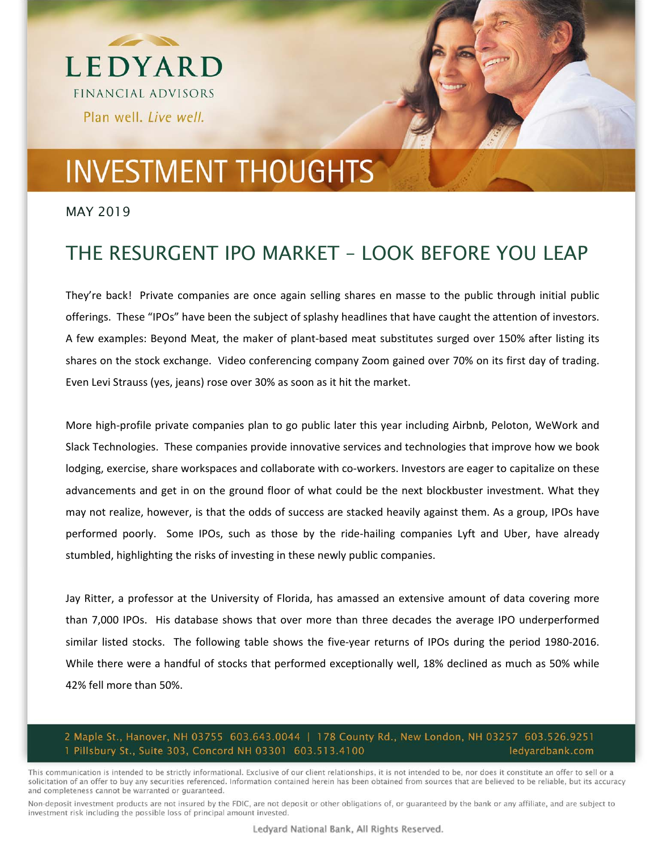

#### MAY 2019

### THE RESURGENT IPO MARKET – LOOK BEFORE YOU LEAP

They're back! Private companies are once again selling shares en masse to the public through initial public offerings. These "IPOs" have been the subject of splashy headlines that have caught the attention of investors. A few examples: Beyond Meat, the maker of plant‐based meat substitutes surged over 150% after listing its shares on the stock exchange. Video conferencing company Zoom gained over 70% on its first day of trading. Even Levi Strauss (yes, jeans) rose over 30% as soon as it hit the market.

More high‐profile private companies plan to go public later this year including Airbnb, Peloton, WeWork and Slack Technologies. These companies provide innovative services and technologies that improve how we book lodging, exercise, share workspaces and collaborate with co-workers. Investors are eager to capitalize on these advancements and get in on the ground floor of what could be the next blockbuster investment. What they may not realize, however, is that the odds of success are stacked heavily against them. As a group, IPOs have performed poorly. Some IPOs, such as those by the ride-hailing companies Lyft and Uber, have already stumbled, highlighting the risks of investing in these newly public companies.

Jay Ritter, a professor at the University of Florida, has amassed an extensive amount of data covering more than 7,000 IPOs. His database shows that over more than three decades the average IPO underperformed similar listed stocks. The following table shows the five-year returns of IPOs during the period 1980-2016. While there were a handful of stocks that performed exceptionally well, 18% declined as much as 50% while 42% fell more than 50%.

#### 2 Maple St., Hanover, NH 03755 603.643.0044 | 178 County Rd., New London, NH 03257 603.526.9251 1 Pillsbury St., Suite 303, Concord NH 03301 603.513.4100 ledyardbank.com

This communication is intended to be strictly informational. Exclusive of our client relationships, it is not intended to be, nor does it constitute an offer to sell or a solicitation of an offer to buy any securities referenced. Information contained herein has been obtained from sources that are believed to be reliable, but its accuracy and completeness cannot be warranted or guaranteed.

Non-deposit investment products are not insured by the FDIC, are not deposit or other obligations of, or guaranteed by the bank or any affiliate, and are subject to investment risk including the possible loss of principal amount invested.

Ledyard National Bank, All Rights Reserved.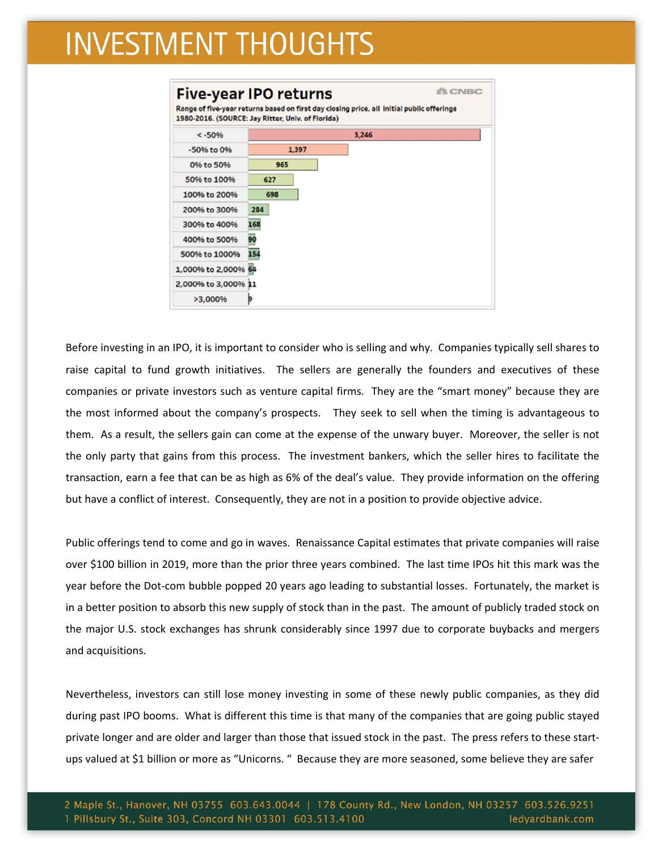| $< -50%$            |       | 3,246 |
|---------------------|-------|-------|
| -50% to 0%          | 1,397 |       |
| 0% to 50%           | 965   |       |
| 50% to 100%         | 627   |       |
| 100% to 200%        | 698   |       |
| 200% to 300%        | 284   |       |
| 300% to 400%        | 168   |       |
| 400% to 500%        | 90    |       |
| 500% to 1000%       | 154   |       |
| 1,000% to 2,000% 64 |       |       |
| 2,000% to 3,000% 11 |       |       |
| >3,000%             |       |       |

Before investing in an IPO, it is important to consider who is selling and why. Companies typically sell shares to raise capital to fund growth initiatives. The sellers are generally the founders and executives of these companies or private investors such as venture capital firms. They are the "smart money" because they are the most informed about the company's prospects. They seek to sell when the timing is advantageous to them. As a result, the sellers gain can come at the expense of the unwary buyer. Moreover, the seller is not the only party that gains from this process. The investment bankers, which the seller hires to facilitate the transaction, earn a fee that can be as high as 6% of the deal's value. They provide information on the offering but have a conflict of interest. Consequently, they are not in a position to provide objective advice.

Public offerings tend to come and go in waves. Renaissance Capital estimates that private companies will raise over \$100 billion in 2019, more than the prior three years combined. The last time IPOs hit this mark was the year before the Dot‐com bubble popped 20 years ago leading to substantial losses. Fortunately, the market is in a better position to absorb this new supply of stock than in the past. The amount of publicly traded stock on the major U.S. stock exchanges has shrunk considerably since 1997 due to corporate buybacks and mergers and acquisitions.

Nevertheless, investors can still lose money investing in some of these newly public companies, as they did during past IPO booms. What is different this time is that many of the companies that are going public stayed private longer and are older and larger than those that issued stock in the past. The press refers to these start‐ ups valued at \$1 billion or more as "Unicorns. " Because they are more seasoned, some believe they are safer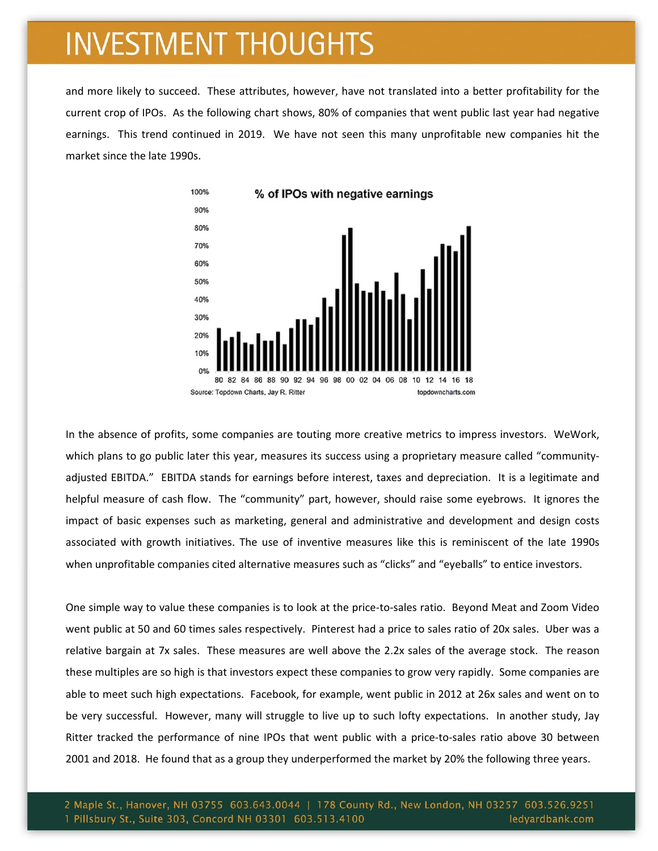and more likely to succeed. These attributes, however, have not translated into a better profitability for the current crop of IPOs. As the following chart shows, 80% of companies that went public last year had negative earnings. This trend continued in 2019. We have not seen this many unprofitable new companies hit the market since the late 1990s.



In the absence of profits, some companies are touting more creative metrics to impress investors. WeWork, which plans to go public later this year, measures its success using a proprietary measure called "communityadjusted EBITDA." EBITDA stands for earnings before interest, taxes and depreciation. It is a legitimate and helpful measure of cash flow. The "community" part, however, should raise some eyebrows. It ignores the impact of basic expenses such as marketing, general and administrative and development and design costs associated with growth initiatives. The use of inventive measures like this is reminiscent of the late 1990s when unprofitable companies cited alternative measures such as "clicks" and "eyeballs" to entice investors.

One simple way to value these companies is to look at the price‐to‐sales ratio. Beyond Meat and Zoom Video went public at 50 and 60 times sales respectively. Pinterest had a price to sales ratio of 20x sales. Uber was a relative bargain at 7x sales. These measures are well above the 2.2x sales of the average stock. The reason these multiples are so high is that investors expect these companies to grow very rapidly. Some companies are able to meet such high expectations. Facebook, for example, went public in 2012 at 26x sales and went on to be very successful. However, many will struggle to live up to such lofty expectations. In another study, Jay Ritter tracked the performance of nine IPOs that went public with a price-to-sales ratio above 30 between 2001 and 2018. He found that as a group they underperformed the market by 20% the following three years.